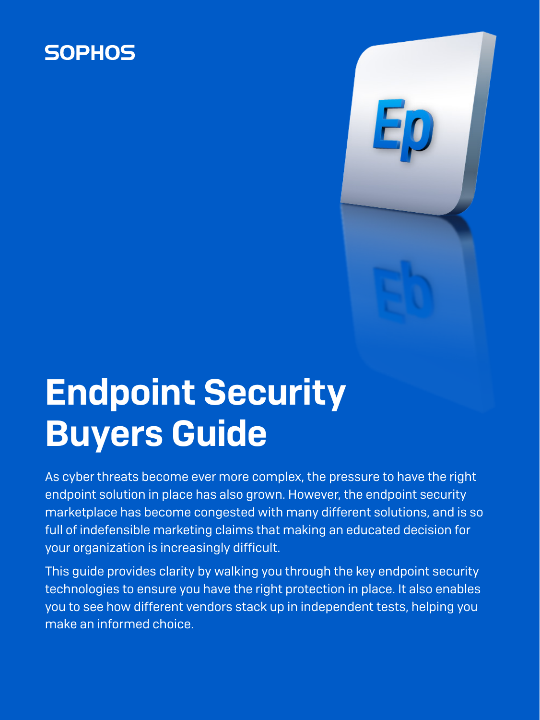## **SOPHOS**

# Endpoint Security Buyers Guide

As cyber threats become ever more complex, the pressure to have the right endpoint solution in place has also grown. However, the endpoint security marketplace has become congested with many different solutions, and is so full of indefensible marketing claims that making an educated decision for your organization is increasingly difficult.

This guide provides clarity by walking you through the key endpoint security technologies to ensure you have the right protection in place. It also enables you to see how different vendors stack up in independent tests, helping you make an informed choice.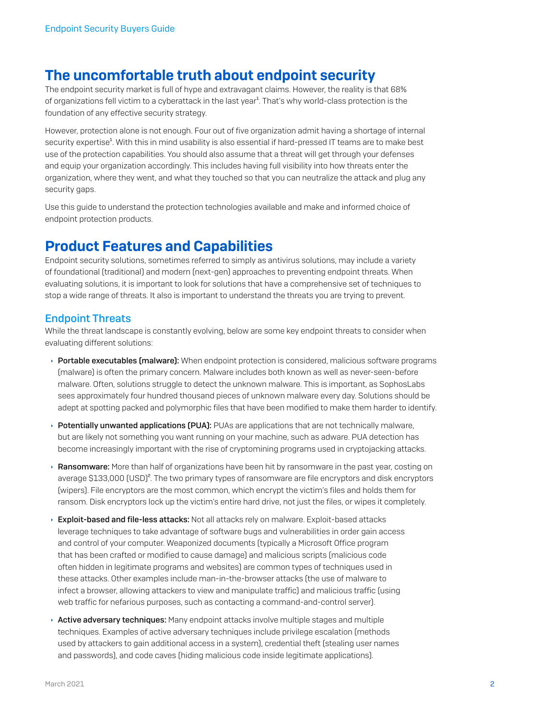### The uncomfortable truth about endpoint security

The endpoint security market is full of hype and extravagant claims. However, the reality is that 68% of organizations fell victim to a cyberattack in the last year<sup>1</sup>. That's why world-class protection is the foundation of any effective security strategy.

However, protection alone is not enough. Four out of five organization admit having a shortage of internal security expertise<sup>1</sup>. With this in mind usability is also essential if hard-pressed IT teams are to make best use of the protection capabilities. You should also assume that a threat will get through your defenses and equip your organization accordingly. This includes having full visibility into how threats enter the organization, where they went, and what they touched so that you can neutralize the attack and plug any security gaps.

Use this guide to understand the protection technologies available and make and informed choice of endpoint protection products.

### Product Features and Capabilities

Endpoint security solutions, sometimes referred to simply as antivirus solutions, may include a variety of foundational (traditional) and modern (next-gen) approaches to preventing endpoint threats. When evaluating solutions, it is important to look for solutions that have a comprehensive set of techniques to stop a wide range of threats. It also is important to understand the threats you are trying to prevent.

### Endpoint Threats

While the threat landscape is constantly evolving, below are some key endpoint threats to consider when evaluating different solutions:

- $\rightarrow$  Portable executables (malware): When endpoint protection is considered, malicious software programs (malware) is often the primary concern. Malware includes both known as well as never-seen-before malware. Often, solutions struggle to detect the unknown malware. This is important, as SophosLabs sees approximately four hundred thousand pieces of unknown malware every day. Solutions should be adept at spotting packed and polymorphic files that have been modified to make them harder to identify.
- $\rightarrow$  Potentially unwanted applications (PUA): PUAs are applications that are not technically malware, but are likely not something you want running on your machine, such as adware. PUA detection has become increasingly important with the rise of cryptomining programs used in cryptojacking attacks.
- $\rightarrow$  Ransomware: More than half of organizations have been hit by ransomware in the past year, costing on average \$133,000 (USD)<sup>2</sup>. The two primary types of ransomware are file encryptors and disk encryptors (wipers). File encryptors are the most common, which encrypt the victim's files and holds them for ransom. Disk encryptors lock up the victim's entire hard drive, not just the files, or wipes it completely.
- Exploit-based and file-less attacks: Not all attacks rely on malware. Exploit-based attacks leverage techniques to take advantage of software bugs and vulnerabilities in order gain access and control of your computer. Weaponized documents (typically a Microsoft Office program that has been crafted or modified to cause damage) and malicious scripts (malicious code often hidden in legitimate programs and websites) are common types of techniques used in these attacks. Other examples include man-in-the-browser attacks (the use of malware to infect a browser, allowing attackers to view and manipulate traffic) and malicious traffic (using web traffic for nefarious purposes, such as contacting a command-and-control server).
- **Active adversary techniques:** Many endpoint attacks involve multiple stages and multiple techniques. Examples of active adversary techniques include privilege escalation (methods used by attackers to gain additional access in a system), credential theft (stealing user names and passwords), and code caves (hiding malicious code inside legitimate applications).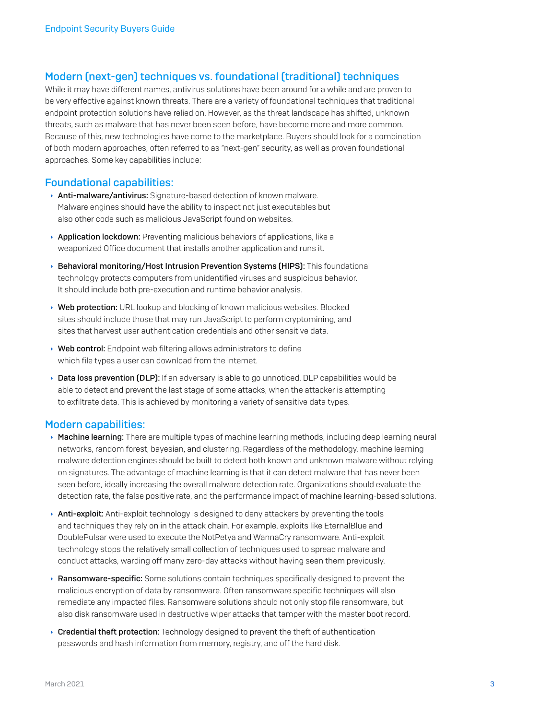### Modern (next-gen) techniques vs. foundational (traditional) techniques

While it may have different names, antivirus solutions have been around for a while and are proven to be very effective against known threats. There are a variety of foundational techniques that traditional endpoint protection solutions have relied on. However, as the threat landscape has shifted, unknown threats, such as malware that has never been seen before, have become more and more common. Because of this, new technologies have come to the marketplace. Buyers should look for a combination of both modern approaches, often referred to as "next-gen" security, as well as proven foundational approaches. Some key capabilities include:

#### Foundational capabilities:

- **Anti-malware/antivirus:** Signature-based detection of known malware. Malware engines should have the ability to inspect not just executables but also other code such as malicious JavaScript found on websites.
- $\rightarrow$  Application lockdown: Preventing malicious behaviors of applications, like a weaponized Office document that installs another application and runs it.
- **Behavioral monitoring/Host Intrusion Prevention Systems (HIPS):** This foundational technology protects computers from unidentified viruses and suspicious behavior. It should include both pre-execution and runtime behavior analysis.
- ▸ Web protection: URL lookup and blocking of known malicious websites. Blocked sites should include those that may run JavaScript to perform cryptomining, and sites that harvest user authentication credentials and other sensitive data.
- $\rightarrow$  Web control: Endpoint web filtering allows administrators to define which file types a user can download from the internet.
- **Data loss prevention (DLP):** If an adversary is able to go unnoticed, DLP capabilities would be able to detect and prevent the last stage of some attacks, when the attacker is attempting to exfiltrate data. This is achieved by monitoring a variety of sensitive data types.

#### Modern capabilities:

- $\rightarrow$  Machine learning: There are multiple types of machine learning methods, including deep learning neural networks, random forest, bayesian, and clustering. Regardless of the methodology, machine learning malware detection engines should be built to detect both known and unknown malware without relying on signatures. The advantage of machine learning is that it can detect malware that has never been seen before, ideally increasing the overall malware detection rate. Organizations should evaluate the detection rate, the false positive rate, and the performance impact of machine learning-based solutions.
- ▶ Anti-exploit: Anti-exploit technology is designed to deny attackers by preventing the tools and techniques they rely on in the attack chain. For example, exploits like EternalBlue and DoublePulsar were used to execute the NotPetya and WannaCry ransomware. Anti-exploit technology stops the relatively small collection of techniques used to spread malware and conduct attacks, warding off many zero-day attacks without having seen them previously.
- $\rightarrow$  Ransomware-specific: Some solutions contain techniques specifically designed to prevent the malicious encryption of data by ransomware. Often ransomware specific techniques will also remediate any impacted files. Ransomware solutions should not only stop file ransomware, but also disk ransomware used in destructive wiper attacks that tamper with the master boot record.
- $\rightarrow$  Credential theft protection: Technology designed to prevent the theft of authentication passwords and hash information from memory, registry, and off the hard disk.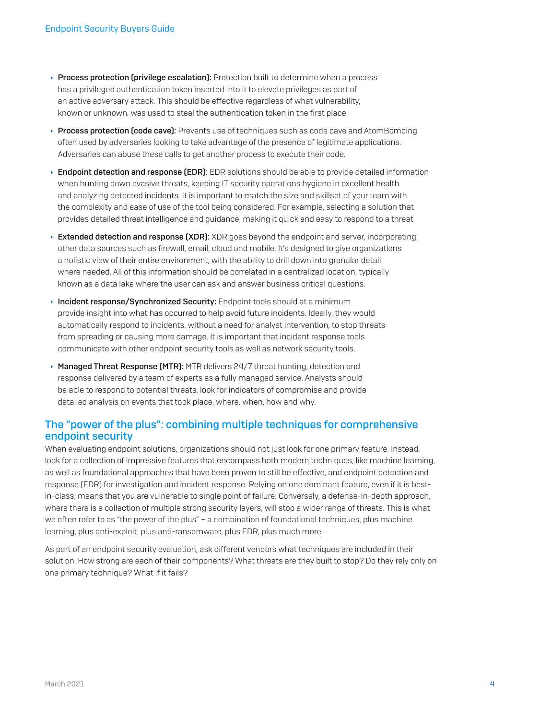- $\rightarrow$  Process protection (privilege escalation): Protection built to determine when a process has a privileged authentication token inserted into it to elevate privileges as part of an active adversary attack. This should be effective regardless of what vulnerability, known or unknown, was used to steal the authentication token in the first place.
- $\rightarrow$  Process protection (code cave): Prevents use of techniques such as code cave and AtomBombing often used by adversaries looking to take advantage of the presence of legitimate applications. Adversaries can abuse these calls to get another process to execute their code.
- $\rightarrow$  Endpoint detection and response (EDR): EDR solutions should be able to provide detailed information when hunting down evasive threats, keeping IT security operations hygiene in excellent health and analyzing detected incidents. It is important to match the size and skillset of your team with the complexity and ease of use of the tool being considered. For example, selecting a solution that provides detailed threat intelligence and guidance, making it quick and easy to respond to a threat.
- $\rightarrow$  Extended detection and response (XDR): XDR goes beyond the endpoint and server, incorporating other data sources such as firewall, email, cloud and mobile. It's designed to give organizations a holistic view of their entire environment, with the ability to drill down into granular detail where needed. All of this information should be correlated in a centralized location, typically known as a data lake where the user can ask and answer business critical questions.
- $\rightarrow$  Incident response/Synchronized Security: Endpoint tools should at a minimum provide insight into what has occurred to help avoid future incidents. Ideally, they would automatically respond to incidents, without a need for analyst intervention, to stop threats from spreading or causing more damage. It is important that incident response tools communicate with other endpoint security tools as well as network security tools.
- $\rightarrow$  Managed Threat Response (MTR): MTR delivers 24/7 threat hunting, detection and response delivered by a team of experts as a fully managed service. Analysts should be able to respond to potential threats, look for indicators of compromise and provide detailed analysis on events that took place, where, when, how and why.

### The "power of the plus": combining multiple techniques for comprehensive endpoint security

When evaluating endpoint solutions, organizations should not just look for one primary feature. Instead, look for a collection of impressive features that encompass both modern techniques, like machine learning, as well as foundational approaches that have been proven to still be effective, and endpoint detection and response (EDR) for investigation and incident response. Relying on one dominant feature, even if it is bestin-class, means that you are vulnerable to single point of failure. Conversely, a defense-in-depth approach, where there is a collection of multiple strong security layers, will stop a wider range of threats. This is what we often refer to as "the power of the plus" – a combination of foundational techniques, plus machine learning, plus anti-exploit, plus anti-ransomware, plus EDR, plus much more.

As part of an endpoint security evaluation, ask different vendors what techniques are included in their solution. How strong are each of their components? What threats are they built to stop? Do they rely only on one primary technique? What if it fails?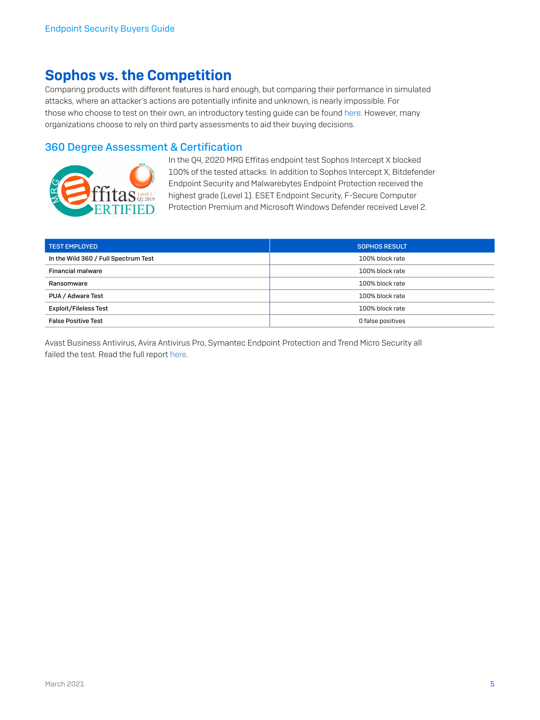### Sophos vs. the Competition

Comparing products with different features is hard enough, but comparing their performance in simulated attacks, where an attacker's actions are potentially infinite and unknown, is nearly impossible. For those who choose to test on their own, an introductory testing guide can be found [here](https://secure2.sophos.com/en-us/security-news-trends/whitepapers/gated-wp/endpoint-security-testing-guide.aspx). However, many organizations choose to rely on third party assessments to aid their buying decisions.

### 360 Degree Assessment & Certification



In the Q4, 2020 MRG Effitas endpoint test Sophos Intercept X blocked 100% of the tested attacks. In addition to Sophos Intercept X, Bitdefender Endpoint Security and Malwarebytes Endpoint Protection received the highest grade (Level 1). ESET Endpoint Security, F-Secure Computer Protection Premium and Microsoft Windows Defender received Level 2.

| <b>TEST EMPLOYED</b>                 | <b>SOPHOS RESULT</b> |
|--------------------------------------|----------------------|
| In the Wild 360 / Full Spectrum Test | 100% block rate      |
| <b>Financial malware</b>             | 100% block rate      |
| Ransomware                           | 100% block rate      |
| PUA / Adware Test                    | 100% block rate      |
| <b>Exploit/Fileless Test</b>         | 100% block rate      |
| <b>False Positive Test</b>           | O false positives    |

Avast Business Antivirus, Avira Antivirus Pro, Symantec Endpoint Protection and Trend Micro Security all failed the test. Read the full report [here.](https://www.mrg-effitas.com/test/360-degree-assessment-certification-q4-2020/)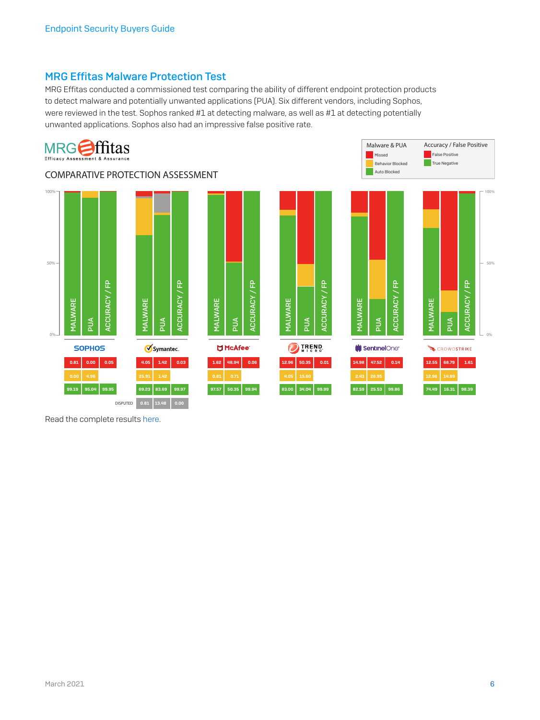### MRG Effitas Malware Protection Test

MRG Effitas conducted a commissioned test comparing the ability of different endpoint protection products to detect malware and potentially unwanted applications (PUA). Six different vendors, including Sophos, were reviewed in the test. Sophos ranked #1 at detecting malware, as well as #1 at detecting potentially unwanted applications. Sophos also had an impressive false positive rate.



Read the complete results [here.](https://secure2.sophos.com/en-us/security-news-trends/reports/mrg/malware-protection-assessment.aspx)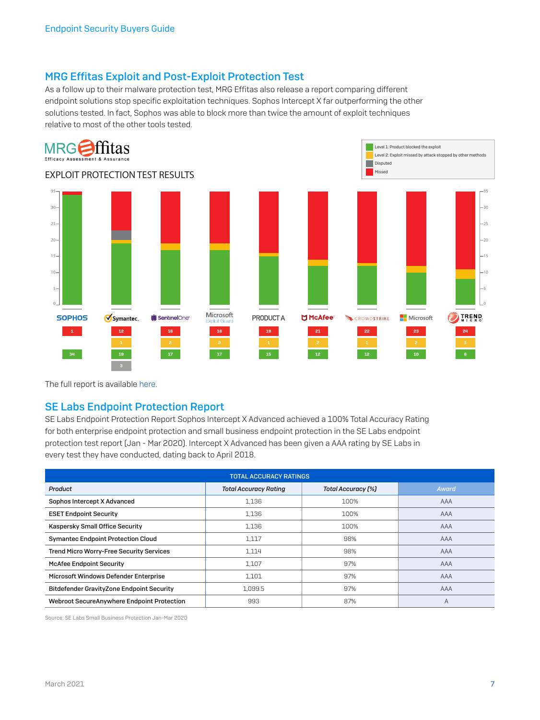### MRG Effitas Exploit and Post-Exploit Protection Test

As a follow up to their malware protection test, MRG Effitas also release a report comparing different endpoint solutions stop specific exploitation techniques. Sophos Intercept X far outperforming the other solutions tested. In fact, Sophos was able to block more than twice the amount of exploit techniques relative to most of the other tools tested.



The full report is available [here.](https://www.mrg-effitas.com/wp-content/uploads/2018/05/MRG_Exploit_Protection.pdf)

#### SE Labs Endpoint Protection Report

SE Labs Endpoint Protection Report Sophos Intercept X Advanced achieved a 100% Total Accuracy Rating for both enterprise endpoint protection and small business endpoint protection in the SE Labs endpoint protection test report (Jan - Mar 2020). Intercept X Advanced has been given a AAA rating by SE Labs in every test they have conducted, dating back to April 2018.

| <b>TOTAL ACCURACY RATINGS</b>                    |                              |                           |       |  |  |
|--------------------------------------------------|------------------------------|---------------------------|-------|--|--|
| Product                                          | <b>Total Accuracy Rating</b> | <b>Total Accuracy [%]</b> | Award |  |  |
| Sophos Intercept X Advanced                      | 1.136                        | 100%                      | AAA   |  |  |
| <b>ESET Endpoint Security</b>                    | 1,136                        | 100%                      | AAA   |  |  |
| Kaspersky Small Office Security                  | 1,136                        | 100%                      | AAA   |  |  |
| <b>Symantec Endpoint Protection Cloud</b>        | 1,117                        | 98%                       | AAA   |  |  |
| <b>Trend Micro Worry-Free Security Services</b>  | 1,114                        | 98%                       | AAA   |  |  |
| <b>McAfee Endpoint Security</b>                  | 1.107                        | 97%                       | AAA   |  |  |
| Microsoft Windows Defender Enterprise            | 1,101                        | 97%                       | AAA   |  |  |
| <b>Bitdefender GravityZone Endpoint Security</b> | 1.099.5                      | 97%                       | AAA   |  |  |
| Webroot SecureAnywhere Endpoint Protection       | 993                          | 87%                       | A     |  |  |

Source: SE Labs Small Business Protection Jan-Mar 2020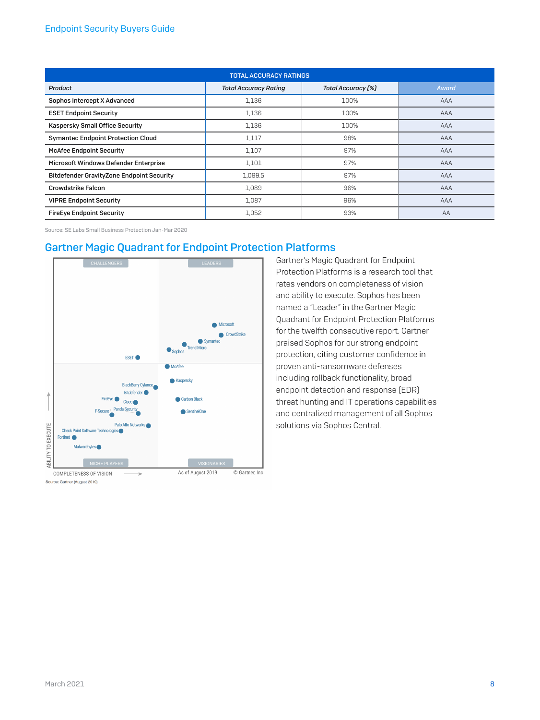#### Endpoint Security Buyers Guide

| <b>TOTAL ACCURACY RATINGS</b>                    |                              |                    |       |  |  |
|--------------------------------------------------|------------------------------|--------------------|-------|--|--|
| Product                                          | <b>Total Accuracy Rating</b> | Total Accuracy [%] | Award |  |  |
| Sophos Intercept X Advanced                      | 1,136                        | 100%               | AAA   |  |  |
| <b>ESET Endpoint Security</b>                    | 1,136                        | 100%               | AAA   |  |  |
| Kaspersky Small Office Security                  | 1,136                        | 100%               | AAA   |  |  |
| <b>Symantec Endpoint Protection Cloud</b>        | 1,117                        | 98%                | AAA   |  |  |
| <b>McAfee Endpoint Security</b>                  | 1,107                        | 97%                | AAA   |  |  |
| Microsoft Windows Defender Enterprise            | 1,101                        | 97%                | AAA   |  |  |
| <b>Bitdefender GravityZone Endpoint Security</b> | 1,099.5                      | 97%                | AAA   |  |  |
| Crowdstrike Falcon                               | 1.089                        | 96%                | AAA   |  |  |
| <b>VIPRE Endpoint Security</b>                   | 1,087                        | 96%                | AAA   |  |  |
| <b>FireEye Endpoint Security</b>                 | 1,052                        | 93%                | AA    |  |  |

Source: SE Labs Small Business Protection Jan-Mar 2020

### Gartner Magic Quadrant for Endpoint Protection Platforms



Source: Gartner (August 2019)

Gartner's Magic Quadrant for Endpoint Protection Platforms is a research tool that rates vendors on completeness of vision and ability to execute. Sophos has been named a "Leader" in the Gartner Magic Quadrant for Endpoint Protection Platforms for the twelfth consecutive report. Gartner praised Sophos for our strong endpoint protection, citing customer confidence in proven anti-ransomware defenses including rollback functionality, broad endpoint detection and response (EDR) threat hunting and IT operations capabilities and centralized management of all Sophos solutions via Sophos Central.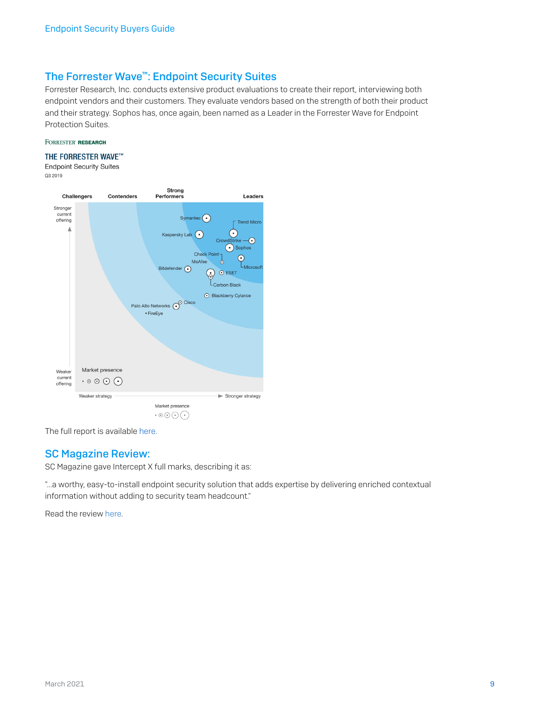### The Forrester Wave™: Endpoint Security Suites

Forrester Research, Inc. conducts extensive product evaluations to create their report, interviewing both endpoint vendors and their customers. They evaluate vendors based on the strength of both their product and their strategy. Sophos has, once again, been named as a Leader in the Forrester Wave for Endpoint Protection Suites.

#### FORRESTER' RESEARCH

#### THE FORRESTER WAVE™

**Endpoint Security Suites** Q3 2019



The full report is available [here.](https://secure2.sophos.com/en-us/security-news-trends/reports/forrester-wave-endpoint-security-suites.aspx)

#### SC Magazine Review:

SC Magazine gave Intercept X full marks, describing it as:

"...a worthy, easy-to-install endpoint security solution that adds expertise by delivering enriched contextual information without adding to security team headcount."

Read the review [here.](https://www.scmagazine.com/review/sophos-intercept-x-advanced-with-edr/)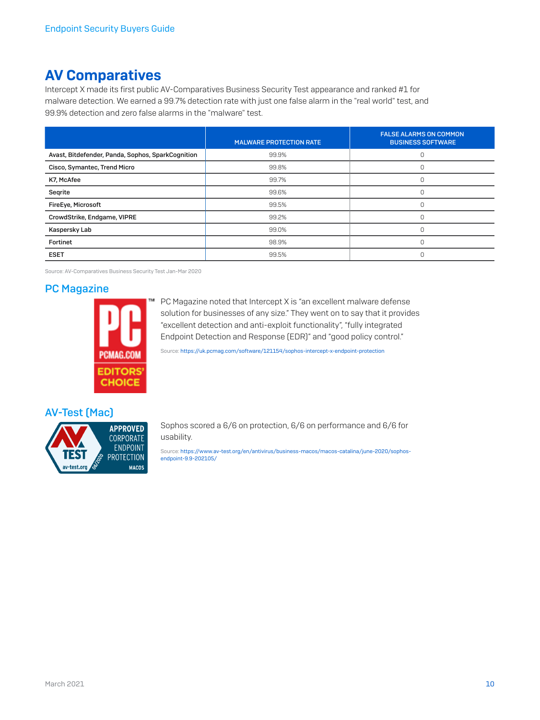### AV Comparatives

Intercept X made its first public AV-Comparatives Business Security Test appearance and ranked #1 for malware detection. We earned a 99.7% detection rate with just one false alarm in the "real world" test, and 99.9% detection and zero false alarms in the "malware" test.

|                                                   | <b>MALWARE PROTECTION RATE</b> | <b>FALSE ALARMS ON COMMON</b><br><b>BUSINESS SOFTWARE</b> |
|---------------------------------------------------|--------------------------------|-----------------------------------------------------------|
| Avast, Bitdefender, Panda, Sophos, SparkCognition | 99.9%                          |                                                           |
| Cisco, Symantec, Trend Micro                      | 99.8%                          | $\cup$                                                    |
| K7, McAfee                                        | 99.7%                          |                                                           |
| Segrite                                           | 99.6%                          | $\Omega$                                                  |
| FireEye, Microsoft                                | 99.5%                          |                                                           |
| CrowdStrike, Endgame, VIPRE                       | 99.2%                          | $\Omega$                                                  |
| Kaspersky Lab                                     | 99.0%                          |                                                           |
| Fortinet                                          | 98.9%                          | $\cap$                                                    |
| <b>ESET</b>                                       | 99.5%                          |                                                           |

Source: AV-Comparatives Business Security Test Jan-Mar 2020

### PC Magazine



PC Magazine noted that Intercept X is "an excellent malware defense solution for businesses of any size." They went on to say that it provides "excellent detection and anti-exploit functionality", "fully integrated Endpoint Detection and Response (EDR)" and "good policy control."

Source:<https://uk.pcmag.com/software/121154/sophos-intercept-x-endpoint-protection>

#### AV-Test (Mac)



Sophos scored a 6/6 on protection, 6/6 on performance and 6/6 for usability.

Source: [https://www.av-test.org/en/antivirus/business-macos/macos-catalina/june-2020/sophos](https://www.av-test.org/en/antivirus/business-macos/macos-catalina/june-2020/sophos-endpoint-9.9-202105/)[endpoint-9.9-202105/](https://www.av-test.org/en/antivirus/business-macos/macos-catalina/june-2020/sophos-endpoint-9.9-202105/)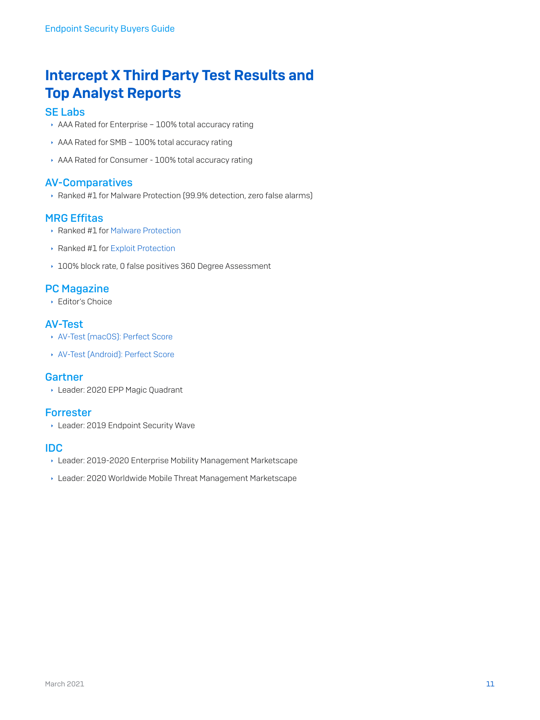### Intercept X Third Party Test Results and Top Analyst Reports

### [SE Labs](https://www.sophos.com/en-us/lp/se-labs.aspx)

- AAA Rated for Enterprise 100% total accuracy rating
- AAA Rated for SMB 100% total accuracy rating
- AAA Rated for Consumer 100% total accuracy rating

### [AV-Comparatives](https://www.av-comparatives.org/tests/business-security-test-march-april-2019-factsheet/)

**Ranked #1 for Malware Protection (99.9% detection, zero false alarms)** 

### MRG Effitas

- **Ranked #1 for [Malware Protection](https://secure2.sophos.com/en-us/security-news-trends/reports/mrg/malware-protection-assessment.aspx)**
- ▶ Ranked #1 for [Exploit Protection](https://secure2.sophos.com/en-us/security-news-trends/reports/mrg/exploit-protection.aspx)
- ▸ [100% block rate, 0 false positives 360 Degree Assessment](https://secure2.sophos.com/en-us/security-news-trends/reports/mrg/exploit-protection.aspx)

### [PC Magazine](https://uk.pcmag.com/software/121154/sophos-intercept-x-endpoint-protection)

**Editor's Choice** 

### AV-Test

- **[AV-Test \(macOS\): Perfect Score](https://www.av-test.org/en/antivirus/business-macos/macos-catalina/june-2020/sophos-endpoint-9.9-202105/)**
- **[AV-Test \(Android\): Perfect Score](https://www.av-test.org/en/antivirus/business-android/android/july-2020/sophos-intercept-x-for-mobile-9.6-203003/)**

#### **[Gartner](https://secure2.sophos.com/en-us/security-news-trends/reports/gartner/magic-quadrant-endpoint-protection-platforms.aspx)**

**Leader: 2020 EPP Magic Quadrant** 

### [Forrester](https://secure2.sophos.com/en-us/security-news-trends/reports/forrester-wave-endpoint-security-suites.aspx)

**Leader: 2019 Endpoint Security Wave** 

#### IDC

- **Leader: 2019-2020 Enterprise Mobility Management Marketscape**
- **Leader: 2020 Worldwide Mobile Threat Management Marketscape**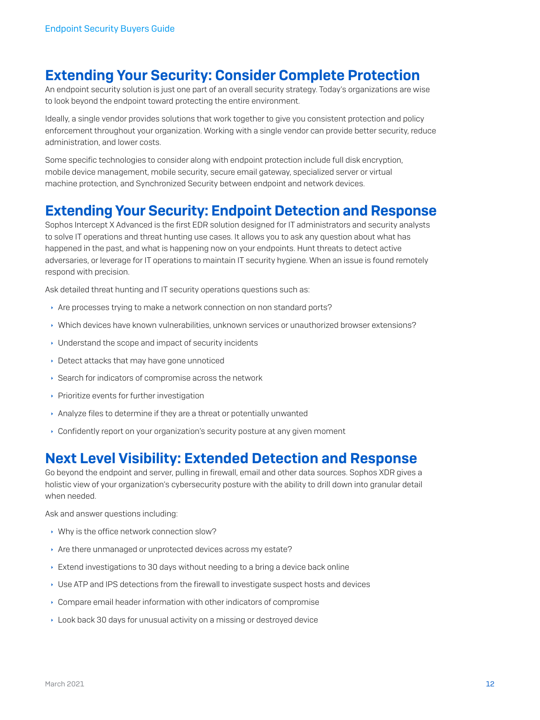### Extending Your Security: Consider Complete Protection

An endpoint security solution is just one part of an overall security strategy. Today's organizations are wise to look beyond the endpoint toward protecting the entire environment.

Ideally, a single vendor provides solutions that work together to give you consistent protection and policy enforcement throughout your organization. Working with a single vendor can provide better security, reduce administration, and lower costs.

Some specific technologies to consider along with endpoint protection include full disk encryption, mobile device management, mobile security, secure email gateway, specialized server or virtual machine protection, and Synchronized Security between endpoint and network devices.

### Extending Your Security: Endpoint Detection and Response

Sophos Intercept X Advanced is the first EDR solution designed for IT administrators and security analysts to solve IT operations and threat hunting use cases. It allows you to ask any question about what has happened in the past, and what is happening now on your endpoints. Hunt threats to detect active adversaries, or leverage for IT operations to maintain IT security hygiene. When an issue is found remotely respond with precision.

Ask detailed threat hunting and IT security operations questions such as:

- Are processes trying to make a network connection on non standard ports?
- $\rightarrow$  Which devices have known vulnerabilities, unknown services or unauthorized browser extensions?
- $\cdot$  Understand the scope and impact of security incidents
- **Detect attacks that may have gone unnoticed**
- $\rightarrow$  Search for indicators of compromise across the network
- $\cdot$  Prioritize events for further investigation
- **Analyze files to determine if they are a threat or potentially unwanted**
- Ì Confidently report on your organization's security posture at any given moment

### Next Level Visibility: Extended Detection and Response

Go beyond the endpoint and server, pulling in firewall, email and other data sources. Sophos XDR gives a holistic view of your organization's cybersecurity posture with the ability to drill down into granular detail when needed.

Ask and answer questions including:

- $\cdot$  Why is the office network connection slow?
- Are there unmanaged or unprotected devices across my estate?
- $\rightarrow$  Extend investigations to 30 days without needing to a bring a device back online
- ▸ Use ATP and IPS detections from the firewall to investigate suspect hosts and devices
- $\cdot$  Compare email header information with other indicators of compromise
- ▶ Look back 30 days for unusual activity on a missing or destroyed device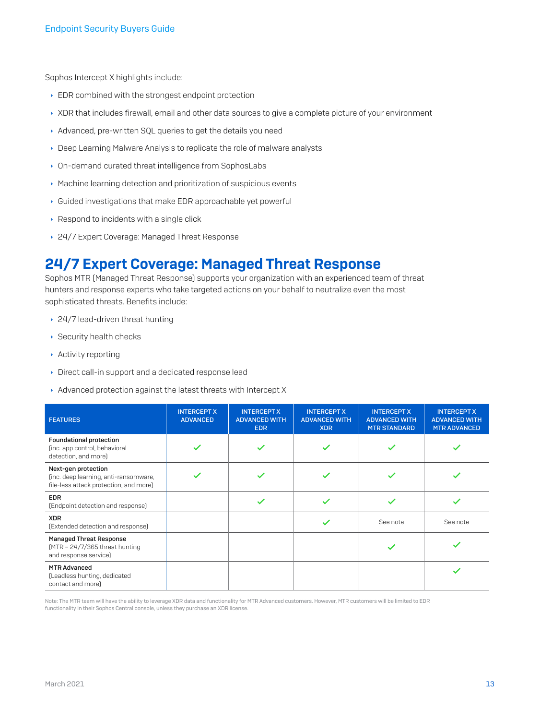Sophos Intercept X highlights include:

- $\cdot$  EDR combined with the strongest endpoint protection
- ▶ XDR that includes firewall, email and other data sources to give a complete picture of your environment
- Advanced, pre-written SQL queries to get the details you need
- **Deep Learning Malware Analysis to replicate the role of malware analysts**
- **In-demand curated threat intelligence from SophosLabs**
- $\cdot$  Machine learning detection and prioritization of suspicious events
- $\cdot$  Guided investigations that make EDR approachable yet powerful
- $\cdot$  Respond to incidents with a single click
- ▶ 24/7 Expert Coverage: Managed Threat Response

### 24/7 Expert Coverage: Managed Threat Response

Sophos MTR (Managed Threat Response) supports your organization with an experienced team of threat hunters and response experts who take targeted actions on your behalf to neutralize even the most sophisticated threats. Benefits include:

- $\cdot$  24/7 lead-driven threat hunting
- $\rightarrow$  Security health checks
- $\rightarrow$  Activity reporting
- **Direct call-in support and a dedicated response lead**
- $\rightarrow$  Advanced protection against the latest threats with Intercept X

| <b>FEATURES</b>                                                                                        | <b>INTERCEPT X</b><br><b>ADVANCED</b> | <b>INTERCEPT X</b><br><b>ADVANCED WITH</b><br><b>EDR</b> | <b>INTERCEPT X</b><br><b>ADVANCED WITH</b><br><b>XDR</b> | <b>INTERCEPT X</b><br><b>ADVANCED WITH</b><br><b>MTR STANDARD</b> | <b>INTERCEPT X</b><br><b>ADVANCED WITH</b><br><b>MTR ADVANCED</b> |
|--------------------------------------------------------------------------------------------------------|---------------------------------------|----------------------------------------------------------|----------------------------------------------------------|-------------------------------------------------------------------|-------------------------------------------------------------------|
| <b>Foundational protection</b><br>(inc. app control, behavioral<br>detection, and more)                |                                       |                                                          |                                                          |                                                                   |                                                                   |
| Next-gen protection<br>(inc. deep learning, anti-ransomware,<br>file-less attack protection, and more) |                                       |                                                          |                                                          |                                                                   |                                                                   |
| <b>EDR</b><br>(Endpoint detection and response)                                                        |                                       |                                                          |                                                          |                                                                   |                                                                   |
| <b>XDR</b><br>(Extended detection and response)                                                        |                                       |                                                          |                                                          | See note                                                          | See note                                                          |
| <b>Managed Threat Response</b><br>$MTR - 24/7/365$ threat hunting<br>and response service]             |                                       |                                                          |                                                          |                                                                   |                                                                   |
| <b>MTR Advanced</b><br>(Leadless hunting, dedicated<br>contact and more)                               |                                       |                                                          |                                                          |                                                                   |                                                                   |

Note: The MTR team will have the ability to leverage XDR data and functionality for MTR Advanced customers. However, MTR customers will be limited to EDR<br>functionality in their Sophos Central console, unless they purchase